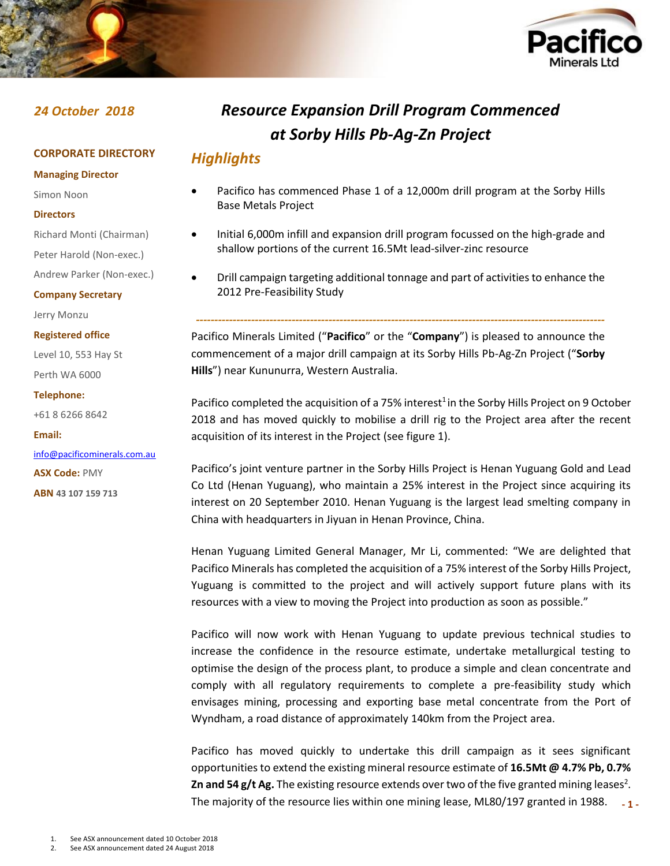



# **CORPORATE DIRECTORY**

**Managing Director**

Simon Noon

### **Directors**

Richard Monti (Chairman)

Peter Harold (Non-exec.)

Andrew Parker (Non-exec.)

### **Company Secretary**

Jerry Monzu

### **Registered office**

Level 10, 553 Hay St Perth WA 6000

### **Telephone:**

+61 8 6266 8642

### **Email:**

[info@pacificominerals.com.au](mailto:info@pacificominerals.com.au) **ASX Code:** PMY **ABN 43 107 159 713**

# *24 October 2018 Resource Expansion Drill Program Commenced at Sorby Hills Pb-Ag-Zn Project*

# *Highlights*

- Pacifico has commenced Phase 1 of a 12,000m drill program at the Sorby Hills Base Metals Project
- Initial 6,000m infill and expansion drill program focussed on the high-grade and shallow portions of the current 16.5Mt lead-silver-zinc resource
- Drill campaign targeting additional tonnage and part of activities to enhance the 2012 Pre-Feasibility Study

*---------------------------------------------------------------------------------------------------------------*

Pacifico Minerals Limited ("**Pacifico**" or the "**Company**") is pleased to announce the commencement of a major drill campaign at its Sorby Hills Pb-Ag-Zn Project ("**Sorby Hills**") near Kununurra, Western Australia.

Pacifico completed the acquisition of a 75% interest<sup>1</sup> in the Sorby Hills Project on 9 October 2018 and has moved quickly to mobilise a drill rig to the Project area after the recent acquisition of its interest in the Project (see figure 1).

Pacifico's joint venture partner in the Sorby Hills Project is Henan Yuguang Gold and Lead Co Ltd (Henan Yuguang), who maintain a 25% interest in the Project since acquiring its interest on 20 September 2010. Henan Yuguang is the largest lead smelting company in China with headquarters in Jiyuan in Henan Province, China.

Henan Yuguang Limited General Manager, Mr Li, commented: "We are delighted that Pacifico Minerals has completed the acquisition of a 75% interest of the Sorby Hills Project, Yuguang is committed to the project and will actively support future plans with its resources with a view to moving the Project into production as soon as possible."

Pacifico will now work with Henan Yuguang to update previous technical studies to increase the confidence in the resource estimate, undertake metallurgical testing to optimise the design of the process plant, to produce a simple and clean concentrate and comply with all regulatory requirements to complete a pre-feasibility study which envisages mining, processing and exporting base metal concentrate from the Port of Wyndham, a road distance of approximately 140km from the Project area.

**- 1 -** Pacifico has moved quickly to undertake this drill campaign as it sees significant opportunities to extend the existing mineral resource estimate of **16.5Mt @ 4.7% Pb, 0.7% Zn and 54 g/t Ag.** The existing resource extends over two of the five granted mining leases<sup>2</sup>. The majority of the resource lies within one mining lease, ML80/197 granted in 1988.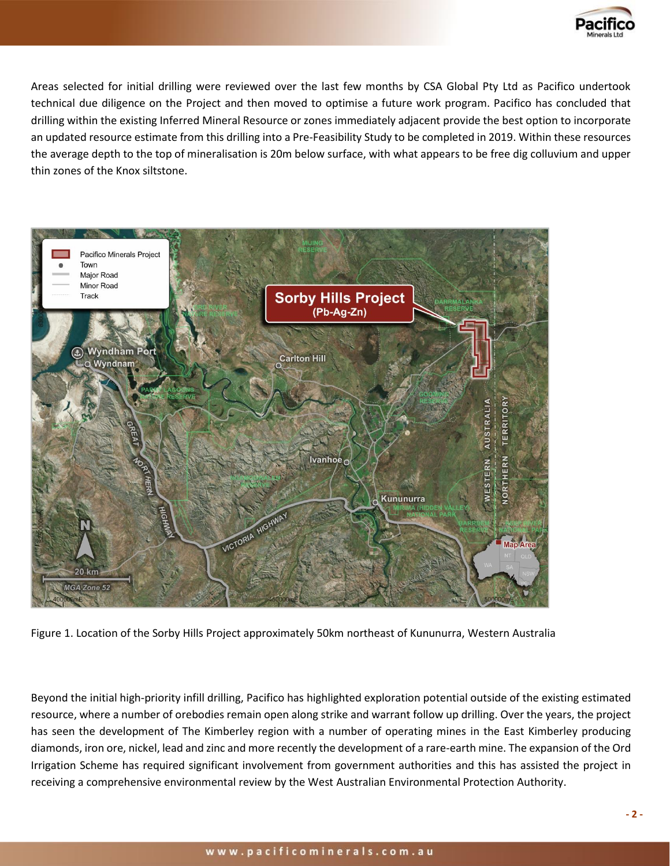

Areas selected for initial drilling were reviewed over the last few months by CSA Global Pty Ltd as Pacifico undertook technical due diligence on the Project and then moved to optimise a future work program. Pacifico has concluded that drilling within the existing Inferred Mineral Resource or zones immediately adjacent provide the best option to incorporate an updated resource estimate from this drilling into a Pre-Feasibility Study to be completed in 2019. Within these resources the average depth to the top of mineralisation is 20m below surface, with what appears to be free dig colluvium and upper thin zones of the Knox siltstone.



Figure 1. Location of the Sorby Hills Project approximately 50km northeast of Kununurra, Western Australia

Beyond the initial high-priority infill drilling, Pacifico has highlighted exploration potential outside of the existing estimated resource, where a number of orebodies remain open along strike and warrant follow up drilling. Over the years, the project has seen the development of The Kimberley region with a number of operating mines in the East Kimberley producing diamonds, iron ore, nickel, lead and zinc and more recently the development of a rare-earth mine. The expansion of the Ord Irrigation Scheme has required significant involvement from government authorities and this has assisted the project in receiving a comprehensive environmental review by the West Australian Environmental Protection Authority.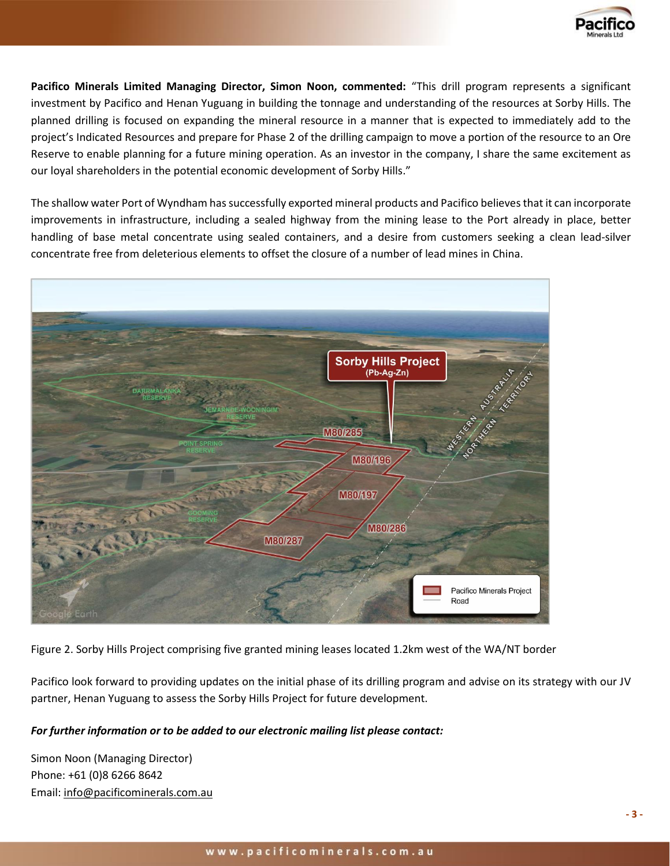

**Pacifico Minerals Limited Managing Director, Simon Noon, commented:** "This drill program represents a significant investment by Pacifico and Henan Yuguang in building the tonnage and understanding of the resources at Sorby Hills. The planned drilling is focused on expanding the mineral resource in a manner that is expected to immediately add to the project's Indicated Resources and prepare for Phase 2 of the drilling campaign to move a portion of the resource to an Ore Reserve to enable planning for a future mining operation. As an investor in the company, I share the same excitement as our loyal shareholders in the potential economic development of Sorby Hills."

The shallow water Port of Wyndham has successfully exported mineral products and Pacifico believes that it can incorporate improvements in infrastructure, including a sealed highway from the mining lease to the Port already in place, better handling of base metal concentrate using sealed containers, and a desire from customers seeking a clean lead-silver concentrate free from deleterious elements to offset the closure of a number of lead mines in China.



Figure 2. Sorby Hills Project comprising five granted mining leases located 1.2km west of the WA/NT border

Pacifico look forward to providing updates on the initial phase of its drilling program and advise on its strategy with our JV partner, Henan Yuguang to assess the Sorby Hills Project for future development.

# *For further information or to be added to our electronic mailing list please contact:*

Simon Noon (Managing Director) Phone: +61 (0)8 6266 8642 Email: [info@pacificominerals.com.au](mailto:info@pacificominerals.com.au)